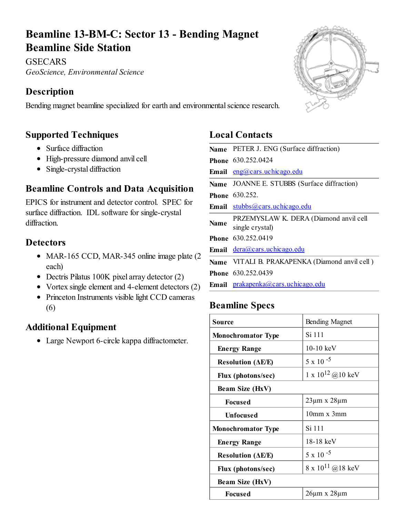# Beamline 13-BM-C: Sector 13 - Bending Magnet Beamline Side Station

**GSECARS** *GeoScience, Environmental Science*

## Description

Bending magnet beamline specialized for earth and environmental science research.

### Supported Techniques

- Surface diffraction
- High-pressure diamond anvil cell
- Single-crystal diffraction

### Beamline Controls and Data Acquisition

EPICS for instrument and detector control. SPEC for surface diffraction. IDL software for single-crystal diffraction.

#### **Detectors**

- MAR-165 CCD, MAR-345 online image plate (2) each)
- Dectris Pilatus 100K pixel array detector (2)
- Vortex single element and 4-element detectors (2)
- Princeton Instruments visible light CCD cameras (6)

### Additional Equipment

Large Newport 6-circle kappa diffractometer.

### Local Contacts

|             | Name PETER J. ENG (Surface diffraction)                   |  |  |
|-------------|-----------------------------------------------------------|--|--|
|             | Phone 630.252.0424                                        |  |  |
|             | Email eng@cars.uchicago.edu                               |  |  |
|             | Name JOANNE E. STUBBS (Surface diffraction)               |  |  |
|             | Phone 630.252.                                            |  |  |
|             | Email stubbs@cars.uchicago.edu                            |  |  |
| <b>Name</b> | PRZEMYSLAW K. DERA (Diamond anvil cell<br>single crystal) |  |  |
|             | Phone 630.252.0419                                        |  |  |
|             | Email <u>dera@cars.uchicago.edu</u>                       |  |  |
|             | Name VITALI B. PRAKAPENKA (Diamond anvil cell)            |  |  |
|             | Phone 630.252.0439                                        |  |  |
|             | Email prakapenka@cars.uchicago.edu                        |  |  |

## Beamline Specs

| Source                                      | <b>Bending Magnet</b>    |  |
|---------------------------------------------|--------------------------|--|
| <b>Monochromator Type</b>                   | Si 111                   |  |
| <b>Energy Range</b>                         | $10-10~keV$              |  |
| <b>Resolution</b> ( $\Delta E/E$ )          | $5 \times 10^{-5}$       |  |
| Flux (photons/sec)                          | 1 x $10^{12}$ @ 10 keV   |  |
| <b>Beam Size (HxV)</b>                      |                          |  |
| <b>Focused</b>                              | $23\mu m \times 28\mu m$ |  |
| <b>Unfocused</b>                            | $10mm \times 3mm$        |  |
| <b>Monochromator Type</b>                   | Si 111                   |  |
| <b>Energy Range</b>                         | 18-18 keV                |  |
| <b>Resolution (<math>\Delta E/E</math>)</b> | $5 \times 10^{-5}$       |  |
| Flux (photons/sec)                          | 8 x $10^{11}$ @ 18 keV   |  |
| Beam Size (HxV)                             |                          |  |
| <b>Focused</b>                              | $26\mu m \times 28\mu m$ |  |